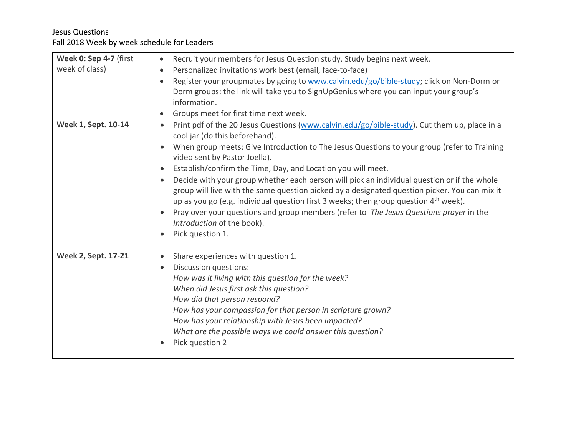| Week 0: Sep 4-7 (first     | Recruit your members for Jesus Question study. Study begins next week.                                                                                                                                                                                                                 |
|----------------------------|----------------------------------------------------------------------------------------------------------------------------------------------------------------------------------------------------------------------------------------------------------------------------------------|
| week of class)             | Personalized invitations work best (email, face-to-face)                                                                                                                                                                                                                               |
|                            | Register your groupmates by going to www.calvin.edu/go/bible-study; click on Non-Dorm or                                                                                                                                                                                               |
|                            | Dorm groups: the link will take you to SignUpGenius where you can input your group's                                                                                                                                                                                                   |
|                            | information.                                                                                                                                                                                                                                                                           |
|                            | Groups meet for first time next week.                                                                                                                                                                                                                                                  |
| Week 1, Sept. 10-14        | Print pdf of the 20 Jesus Questions (www.calvin.edu/go/bible-study). Cut them up, place in a<br>$\bullet$                                                                                                                                                                              |
|                            | cool jar (do this beforehand).                                                                                                                                                                                                                                                         |
|                            | When group meets: Give Introduction to The Jesus Questions to your group (refer to Training<br>video sent by Pastor Joella).                                                                                                                                                           |
|                            | Establish/confirm the Time, Day, and Location you will meet.<br>$\bullet$                                                                                                                                                                                                              |
|                            | Decide with your group whether each person will pick an individual question or if the whole<br>group will live with the same question picked by a designated question picker. You can mix it<br>up as you go (e.g. individual question first 3 weeks; then group question $4th$ week). |
|                            | Pray over your questions and group members (refer to The Jesus Questions prayer in the<br>Introduction of the book).                                                                                                                                                                   |
|                            | Pick question 1.                                                                                                                                                                                                                                                                       |
| <b>Week 2, Sept. 17-21</b> | Share experiences with question 1.                                                                                                                                                                                                                                                     |
|                            | Discussion questions:<br>$\bullet$                                                                                                                                                                                                                                                     |
|                            | How was it living with this question for the week?                                                                                                                                                                                                                                     |
|                            | When did Jesus first ask this question?                                                                                                                                                                                                                                                |
|                            | How did that person respond?                                                                                                                                                                                                                                                           |
|                            | How has your compassion for that person in scripture grown?                                                                                                                                                                                                                            |
|                            | How has your relationship with Jesus been impacted?                                                                                                                                                                                                                                    |
|                            | What are the possible ways we could answer this question?                                                                                                                                                                                                                              |
|                            | Pick question 2                                                                                                                                                                                                                                                                        |
|                            |                                                                                                                                                                                                                                                                                        |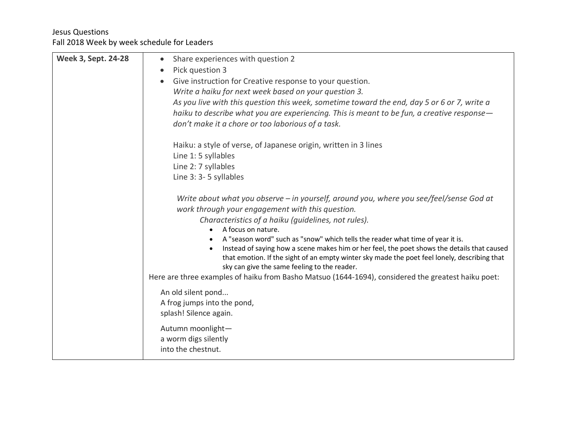| Share experiences with question 2                                                                                                                                                                                                           |
|---------------------------------------------------------------------------------------------------------------------------------------------------------------------------------------------------------------------------------------------|
| Pick question 3<br>$\bullet$                                                                                                                                                                                                                |
| Give instruction for Creative response to your question.                                                                                                                                                                                    |
| Write a haiku for next week based on your question 3.                                                                                                                                                                                       |
| As you live with this question this week, sometime toward the end, day 5 or 6 or 7, write a                                                                                                                                                 |
| haiku to describe what you are experiencing. This is meant to be fun, a creative response—                                                                                                                                                  |
| don't make it a chore or too laborious of a task.                                                                                                                                                                                           |
| Haiku: a style of verse, of Japanese origin, written in 3 lines                                                                                                                                                                             |
| Line 1:5 syllables                                                                                                                                                                                                                          |
| Line 2: 7 syllables                                                                                                                                                                                                                         |
| Line 3: 3-5 syllables                                                                                                                                                                                                                       |
| Write about what you observe - in yourself, around you, where you see/feel/sense God at<br>work through your engagement with this question.                                                                                                 |
| Characteristics of a haiku (guidelines, not rules).                                                                                                                                                                                         |
| A focus on nature.                                                                                                                                                                                                                          |
| A "season word" such as "snow" which tells the reader what time of year it is.                                                                                                                                                              |
| Instead of saying how a scene makes him or her feel, the poet shows the details that caused<br>that emotion. If the sight of an empty winter sky made the poet feel lonely, describing that<br>sky can give the same feeling to the reader. |
| Here are three examples of haiku from Basho Matsuo (1644-1694), considered the greatest haiku poet:                                                                                                                                         |
| An old silent pond                                                                                                                                                                                                                          |
| A frog jumps into the pond,                                                                                                                                                                                                                 |
| splash! Silence again.                                                                                                                                                                                                                      |
| Autumn moonlight-                                                                                                                                                                                                                           |
| a worm digs silently                                                                                                                                                                                                                        |
| into the chestnut.                                                                                                                                                                                                                          |
|                                                                                                                                                                                                                                             |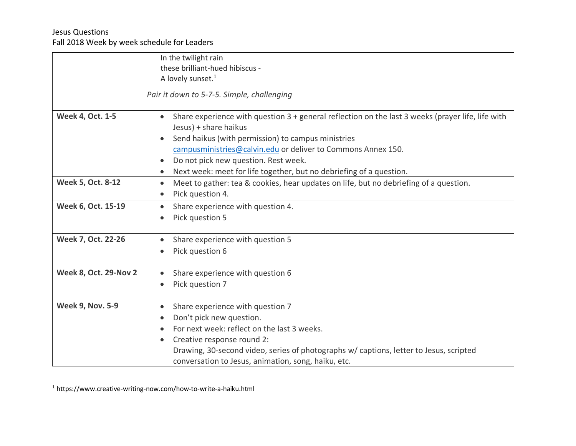|                              | In the twilight rain                                                                                                         |
|------------------------------|------------------------------------------------------------------------------------------------------------------------------|
|                              | these brilliant-hued hibiscus -                                                                                              |
|                              | A lovely sunset. <sup>1</sup>                                                                                                |
|                              | Pair it down to 5-7-5. Simple, challenging                                                                                   |
|                              |                                                                                                                              |
| <b>Week 4, Oct. 1-5</b>      | Share experience with question $3 +$ general reflection on the last 3 weeks (prayer life, life with<br>Jesus) + share haikus |
|                              | Send haikus (with permission) to campus ministries                                                                           |
|                              | campusministries@calvin.edu or deliver to Commons Annex 150.                                                                 |
|                              | Do not pick new question. Rest week.<br>$\bullet$                                                                            |
|                              | Next week: meet for life together, but no debriefing of a question.                                                          |
| Week 5, Oct. 8-12            | Meet to gather: tea & cookies, hear updates on life, but no debriefing of a question.<br>$\bullet$                           |
|                              | Pick question 4.                                                                                                             |
| Week 6, Oct. 15-19           | Share experience with question 4.                                                                                            |
|                              | Pick question 5                                                                                                              |
| Week 7, Oct. 22-26           | Share experience with question 5                                                                                             |
|                              | Pick question 6                                                                                                              |
|                              |                                                                                                                              |
| <b>Week 8, Oct. 29-Nov 2</b> | Share experience with question 6                                                                                             |
|                              | Pick question 7                                                                                                              |
| <b>Week 9, Nov. 5-9</b>      | Share experience with question 7<br>$\bullet$                                                                                |
|                              | Don't pick new question.                                                                                                     |
|                              | For next week: reflect on the last 3 weeks.                                                                                  |
|                              | Creative response round 2:                                                                                                   |
|                              | Drawing, 30-second video, series of photographs w/ captions, letter to Jesus, scripted                                       |
|                              | conversation to Jesus, animation, song, haiku, etc.                                                                          |

 <sup>1</sup> https://www.creative-writing-now.com/how-to-write-a-haiku.html